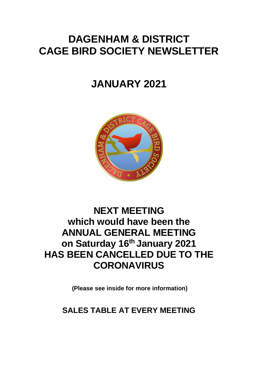# **DAGENHAM & DISTRICT CAGE BIRD SOCIETY NEWSLETTER**

# **JANUARY 2021**



# **NEXT MEETING which would have been the ANNUAL GENERAL MEETING on Saturday 16 th January 2021 HAS BEEN CANCELLED DUE TO THE CORONAVIRUS**

**(Please see inside for more information)**

**SALES TABLE AT EVERY MEETING**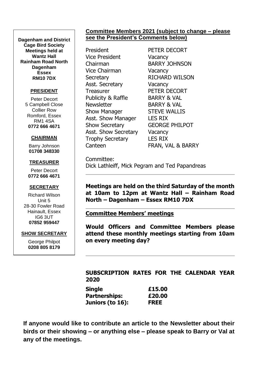**Dagenham and District Cage Bird Society Meetings held at Wantz Hall Rainham Road North Dagenham Essex RM10 7DX**

#### **PRESIDENT**

Peter Decort 5 Campbell Close Collier Row Romford, Essex RM1 4SA **0772 666 4671**

#### **CHAIRMAN**

Barry Johnson **01708 348330**

#### **TREASURER**

Peter Decort **0772 666 4671**

#### **SECRETARY**

Richard Wilson Unit 5 28-30 Fowler Road Hainault, Essex IG6 3UT **07852 959447**

#### **SHOW SECRETARY**

George Philpot **0208 805 8179**

#### **Committee Members 2021 (subject to change – please see the President's Comments below)**

President PETER DECORT Vice President Vacancy Chairman BARRY JOHNSON Vice Chairman Vacancy Secretary RICHARD WILSON Asst. Secretary **Vacancy** Treasurer PETER DECORT Publicity & Raffle BARRY & VAL Newsletter BARRY & VAL Show Manager STEVE WALLIS Asst. Show Manager LES RIX Show Secretary **GEORGE PHILPOT** Asst. Show Secretary Vacancy Trophy Secretary LES RIX Canteen FRAN, VAL & BARRY

Committee: Dick Lathleiff, Mick Pegram and Ted Papandreas

**Meetings are held on the third Saturday of the month at 10am to 12pm at Wantz Hall – Rainham Road North – Dagenham – Essex RM10 7DX**

**Committee Members' meetings**

**Would Officers and Committee Members please attend these monthly meetings starting from 10am on every meeting day?**

#### **SUBSCRIPTION RATES FOR THE CALENDAR YEAR 2020**

| Single           | £15.00      |
|------------------|-------------|
| Partnerships:    | £20.00      |
| Juniors (to 16): | <b>FREE</b> |

**If anyone would like to contribute an article to the Newsletter about their birds or their showing – or anything else – please speak to Barry or Val at any of the meetings.**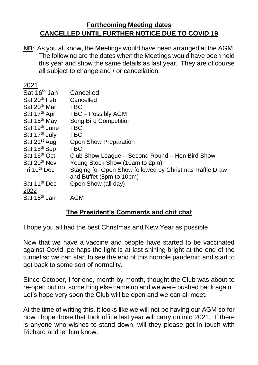# **Forthcoming Meeting dates CANCELLED UNTIL FURTHER NOTICE DUE TO COVID 19**

**NB**: As you all know, the Meetings would have been arranged at the AGM. The following are the dates when the Meetings would have been held this year and show the same details as last year. They are of course all subject to change and / or cancellation.

| 2021                      |                                                         |
|---------------------------|---------------------------------------------------------|
| Sat 16 <sup>th</sup> Jan  | Cancelled                                               |
| Sat 20 <sup>th</sup> Feb  | Cancelled                                               |
| Sat 20 <sup>th</sup> Mar  | <b>TBC</b>                                              |
| Sat 17 <sup>th</sup> Apr  | <b>TBC - Possibly AGM</b>                               |
| Sat 15 <sup>th</sup> May  | <b>Song Bird Competition</b>                            |
| Sat 19 <sup>th</sup> June | <b>TBC</b>                                              |
| Sat 17 <sup>th</sup> July | <b>TBC</b>                                              |
| Sat 21 <sup>st</sup> Aug  | <b>Open Show Preparation</b>                            |
| Sat 18 <sup>th</sup> Sep  | <b>TBC</b>                                              |
| Sat 16 <sup>th</sup> Oct  | Club Show League – Second Round – Hen Bird Show         |
| Sat 20 <sup>th</sup> Nov  | Young Stock Show (10am to 2pm)                          |
| Fri 10 <sup>th</sup> Dec  | Staging for Open Show followed by Christmas Raffle Draw |
|                           | and Buffet (8pm to 10pm)                                |
| Sat 11 <sup>th</sup> Dec  | Open Show (all day)                                     |
| 2022                      |                                                         |
| Sat 15 <sup>th</sup> Jan  | AGM                                                     |

## **The President's Comments and chit chat**

I hope you all had the best Christmas and New Year as possible

Now that we have a vaccine and people have started to be vaccinated against Covid, perhaps the light is at last shining bright at the end of the tunnel so we can start to see the end of this horrible pandemic and start to get back to some sort of normality.

Since October, I for one, month by month, thought the Club was about to re-open but no, something else came up and we were pushed back again . Let's hope very soon the Club will be open and we can all meet.

At the time of writing this, it looks like we will not be having our AGM so for now I hope those that took office last year will carry on into 2021. If there is anyone who wishes to stand down, will they please get in touch with Richard and let him know.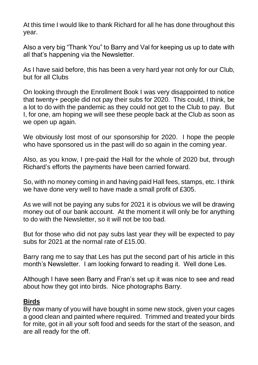At this time I would like to thank Richard for all he has done throughout this year.

Also a very big "Thank You" to Barry and Val for keeping us up to date with all that's happening via the Newsletter.

As I have said before, this has been a very hard year not only for our Club, but for all Clubs

On looking through the Enrollment Book I was very disappointed to notice that twenty+ people did not pay their subs for 2020. This could, I think, be a lot to do with the pandemic as they could not get to the Club to pay. But I, for one, am hoping we will see these people back at the Club as soon as we open up again.

We obviously lost most of our sponsorship for 2020. I hope the people who have sponsored us in the past will do so again in the coming year.

Also, as you know, I pre-paid the Hall for the whole of 2020 but, through Richard's efforts the payments have been carried forward.

So, with no money coming in and having paid Hall fees, stamps, etc. I think we have done very well to have made a small profit of £305.

As we will not be paying any subs for 2021 it is obvious we will be drawing money out of our bank account. At the moment it will only be for anything to do with the Newsletter, so it will not be too bad.

But for those who did not pay subs last year they will be expected to pay subs for 2021 at the normal rate of £15.00.

Barry rang me to say that Les has put the second part of his article in this month's Newsletter. I am looking forward to reading it. Well done Les.

Although I have seen Barry and Fran's set up it was nice to see and read about how they got into birds. Nice photographs Barry.

#### **Birds**

By now many of you will have bought in some new stock, given your cages a good clean and painted where required. Trimmed and treated your birds for mite, got in all your soft food and seeds for the start of the season, and are all ready for the off.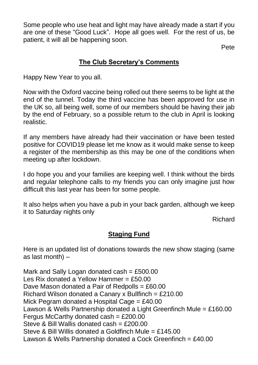Some people who use heat and light may have already made a start if you are one of these "Good Luck". Hope all goes well. For the rest of us, be patient, it will all be happening soon.

Pete

# **The Club Secretary's Comments**

Happy New Year to you all.

Now with the Oxford vaccine being rolled out there seems to be light at the end of the tunnel. Today the third vaccine has been approved for use in the UK so, all being well, some of our members should be having their jab by the end of February, so a possible return to the club in April is looking realistic.

If any members have already had their vaccination or have been tested positive for COVID19 please let me know as it would make sense to keep a register of the membership as this may be one of the conditions when meeting up after lockdown.

I do hope you and your families are keeping well. I think without the birds and regular telephone calls to my friends you can only imagine just how difficult this last year has been for some people.

It also helps when you have a pub in your back garden, although we keep it to Saturday nights only

Richard

# **Staging Fund**

Here is an updated list of donations towards the new show staging (same as last month) –

Mark and Sally Logan donated cash =  $£500.00$ Les Rix donated a Yellow Hammer =  $£50.00$ Dave Mason donated a Pair of Redpolls = £60.00 Richard Wilson donated a Canary x Bullfinch = £210.00 Mick Pegram donated a Hospital Cage = £40.00 Lawson & Wells Partnership donated a Light Greenfinch Mule = £160.00 Fergus McCarthy donated cash =  $£200.00$ Steve & Bill Wallis donated cash = £200.00 Steve & Bill Willis donated a Goldfinch Mule = £145.00 Lawson & Wells Partnership donated a Cock Greenfinch = £40.00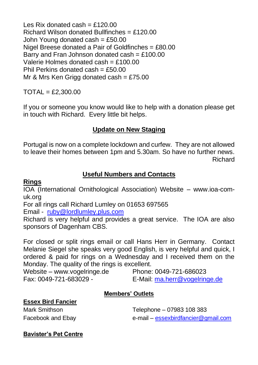Les Rix donated cash  $=$  £120.00 Richard Wilson donated Bullfinches = £120.00 John Young donated cash =  $£50.00$ Nigel Breese donated a Pair of Goldfinches = £80.00 Barry and Fran Johnson donated cash =  $£100.00$ Valerie Holmes donated cash = £100.00 Phil Perkins donated  $cash = £50.00$ Mr & Mrs Ken Grigg donated cash =  $£75.00$ 

TOTAL = £2,300.00

If you or someone you know would like to help with a donation please get in touch with Richard. Every little bit helps.

# **Update on New Staging**

Portugal is now on a complete lockdown and curfew. They are not allowed to leave their homes between 1pm and 5.30am. So have no further news. Richard

# **Useful Numbers and Contacts**

#### **Rings**

IOA (International Ornithological Association) Website – www.ioa-comuk.org

For all rings call Richard Lumley on 01653 697565

Email - [ruby@lordlumley.plus.com](mailto:ruby@lordlumley.plus.com)

Richard is very helpful and provides a great service. The IOA are also sponsors of Dagenham CBS.

For closed or split rings email or call Hans Herr in Germany. Contact Melanie Siegel she speaks very good English, is very helpful and quick, I ordered & paid for rings on a Wednesday and I received them on the Monday. The quality of the rings is excellent.

Website – www.vogelringe.de Phone: 0049-721-686023 Fax: 0049-721-683029 - E-Mail: [ma.herr@vogelringe.de](mailto:ma.herr@vogelringe.de)

## **Members' Outlets**

#### **Essex Bird Fancier**

Mark Smithson **Mark Smithson Telephone – 07983 108 383** Facebook and Ebay e-mail – [essexbirdfancier@gmail.com](mailto:essexbirdfancier@gmail.com)

#### **Bavister's Pet Centre**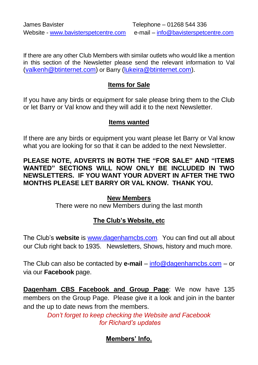If there are any other Club Members with similar outlets who would like a mention in this section of the Newsletter please send the relevant information to Val [\(valkenh@btinternet.com\)](mailto:valkenh@btinternet.com) or Barry [\(lukeira@btinternet.com\)](mailto:lukeira@btinternet.com).

## **Items for Sale**

If you have any birds or equipment for sale please bring them to the Club or let Barry or Val know and they will add it to the next Newsletter.

## **Items wanted**

If there are any birds or equipment you want please let Barry or Val know what you are looking for so that it can be added to the next Newsletter.

#### **PLEASE NOTE, ADVERTS IN BOTH THE "FOR SALE" AND "ITEMS WANTED" SECTIONS WILL NOW ONLY BE INCLUDED IN TWO NEWSLETTERS. IF YOU WANT YOUR ADVERT IN AFTER THE TWO MONTHS PLEASE LET BARRY OR VAL KNOW. THANK YOU.**

## **New Members**

There were no new Members during the last month

# **The Club's Website, etc**

The Club's **website** is [www.dagenhamcbs.com](http://www.dagenhamcbs.com/). You can find out all about our Club right back to 1935. Newsletters, Shows, history and much more.

The Club can also be contacted by **e-mail** – [info@dagenhamcbs.com](mailto:info@dagenhamcbs.com) – or via our **Facebook** page.

**Dagenham CBS Facebook and Group Page**: We now have 135 members on the Group Page. Please give it a look and join in the banter and the up to date news from the members.

> *Don't forget to keep checking the Website and Facebook for Richard's updates*

# **Members' Info.**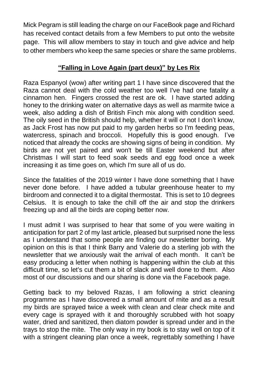Mick Pegram is still leading the charge on our FaceBook page and Richard has received contact details from a few Members to put onto the website page. This will allow members to stay in touch and give advice and help to other members who keep the same species or share the same problems.

## **"Falling in Love Again (part deux)" by Les Rix**

Raza Espanyol (wow) after writing part 1 I have since discovered that the Raza cannot deal with the cold weather too well I've had one fatality a cinnamon hen. Fingers crossed the rest are ok. I have started adding honey to the drinking water on alternative days as well as marmite twice a week, also adding a dish of British Finch mix along with condition seed. The oily seed in the British should help, whether it will or not I don't know, as Jack Frost has now put paid to my garden herbs so I'm feeding peas, watercress, spinach and broccoli. Hopefully this is good enough. I've noticed that already the cocks are showing signs of being in condition. My birds are not yet paired and won't be till Easter weekend but after Christmas I will start to feed soak seeds and egg food once a week increasing it as time goes on, which I'm sure all of us do.

Since the fatalities of the 2019 winter I have done something that I have never done before. I have added a tubular greenhouse heater to my birdroom and connected it to a digital thermostat. This is set to 10 degrees Celsius. It is enough to take the chill off the air and stop the drinkers freezing up and all the birds are coping better now.

I must admit I was surprised to hear that some of you were waiting in anticipation for part 2 of my last article, pleased but surprised none the less as I understand that some people are finding our newsletter boring. My opinion on this is that I think Barry and Valerie do a sterling job with the newsletter that we anxiously wait the arrival of each month. It can't be easy producing a letter when nothing is happening within the club at this difficult time, so let's cut them a bit of slack and well done to them. Also most of our discussions and our sharing is done via the Facebook page.

Getting back to my beloved Razas, I am following a strict cleaning programme as I have discovered a small amount of mite and as a result my birds are sprayed twice a week with clean and clear check mite and every cage is sprayed with it and thoroughly scrubbed with hot soapy water, dried and sanitized, then diatom powder is spread under and in the trays to stop the mite. The only way in my book is to stay well on top of it with a stringent cleaning plan once a week, regrettably something I have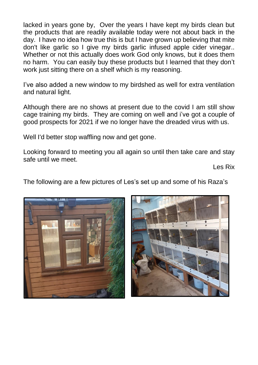lacked in years gone by, Over the years I have kept my birds clean but the products that are readily available today were not about back in the day. I have no idea how true this is but I have grown up believing that mite don't like garlic so I give my birds garlic infused apple cider vinegar.. Whether or not this actually does work God only knows, but it does them no harm. You can easily buy these products but I learned that they don't work just sitting there on a shelf which is my reasoning.

I've also added a new window to my birdshed as well for extra ventilation and natural light.

Although there are no shows at present due to the covid I am still show cage training my birds. They are coming on well and i've got a couple of good prospects for 2021 if we no longer have the dreaded virus with us.

Well I'd better stop waffling now and get gone.

Looking forward to meeting you all again so until then take care and stay safe until we meet.

Les Rix

The following are a few pictures of Les's set up and some of his Raza's



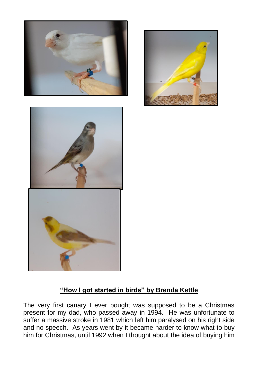





# **"How I got started in birds" by Brenda Kettle**

The very first canary I ever bought was supposed to be a Christmas present for my dad, who passed away in 1994. He was unfortunate to suffer a massive stroke in 1981 which left him paralysed on his right side and no speech. As years went by it became harder to know what to buy him for Christmas, until 1992 when I thought about the idea of buying him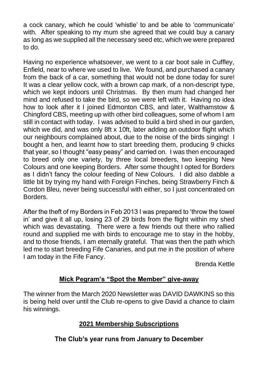a cock canary, which he could 'whistle' to and be able to 'communicate' with. After speaking to my mum she agreed that we could buy a canary as long as we supplied all the necessary seed etc, which we were prepared to do.

Having no experience whatsoever, we went to a car boot sale in Cuffley, Enfield, near to where we used to live. We found, and purchased a canary from the back of a car, something that would not be done today for sure! It was a clear yellow cock, with a brown cap mark, of a non-descript type, which we kept indoors until Christmas. By then mum had changed her mind and refused to take the bird, so we were left with it. Having no idea how to look after it I joined Edmonton CBS, and later, Walthamstow & Chingford CBS, meeting up with other bird colleagues, some of whom I am still in contact with today. I was advised to build a bird shed in our garden, which we did, and was only 8ft x 10ft, later adding an outdoor flight which our neighbours complained about, due to the noise of the birds singing! I bought a hen, and learnt how to start breeding them, producing 9 chicks that year, so I thought "easy peasy" and carried on. I was then encouraged to breed only one variety, by three local breeders, two keeping New Colours and one keeping Borders. After some thought I opted for Borders as I didn't fancy the colour feeding of New Colours. I did also dabble a little bit by trying my hand with Foreign Finches, being Strawberry Finch & Cordon Bleu, never being successful with either, so I just concentrated on Borders.

After the theft of my Borders in Feb 2013 I was prepared to 'throw the towel in' and give it all up, losing 23 of 29 birds from the flight within my shed which was devastating. There were a few friends out there who rallied round and supplied me with birds to encourage me to stay in the hobby, and to those friends, I am eternally grateful. That was then the path which led me to start breeding Fife Canaries, and put me in the position of where I am today in the Fife Fancy.

Brenda Kettle

## **Mick Pegram's "Spot the Member" give-away**

The winner from the March 2020 Newsletter was DAVID DAWKINS so this is being held over until the Club re-opens to give David a chance to claim his winnings.

## **2021 Membership Subscriptions**

# **The Club's year runs from January to December**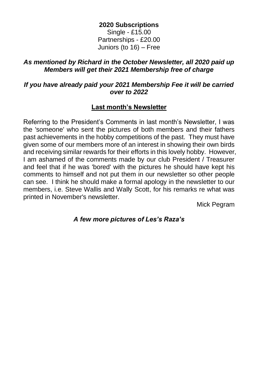#### **2020 Subscriptions**

Single - £15.00 Partnerships - £20.00 Juniors (to 16) – Free

#### *As mentioned by Richard in the October Newsletter, all 2020 paid up Members will get their 2021 Membership free of charge*

#### *If you have already paid your 2021 Membership Fee it will be carried over to 2022*

## **Last month's Newsletter**

Referring to the President's Comments in last month's Newsletter, I was the 'someone' who sent the pictures of both members and their fathers past achievements in the hobby competitions of the past. They must have given some of our members more of an interest in showing their own birds and receiving similar rewards for their efforts in this lovely hobby. However, I am ashamed of the comments made by our club President / Treasurer and feel that if he was 'bored' with the pictures he should have kept his comments to himself and not put them in our newsletter so other people can see. I think he should make a formal apology in the newsletter to our members, i.e. Steve Wallis and Wally Scott, for his remarks re what was printed in November's newsletter.

Mick Pegram

## *A few more pictures of Les's Raza's*